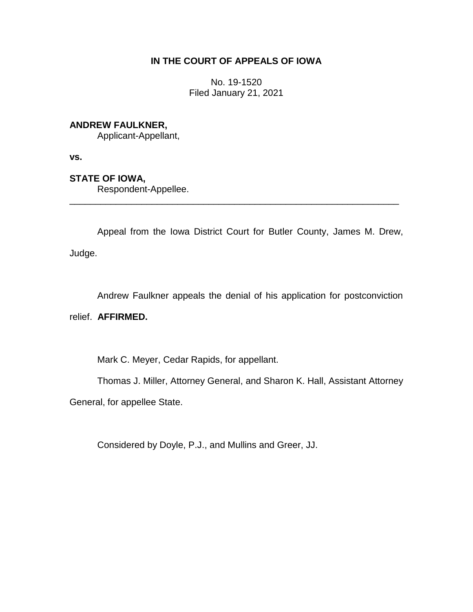# **IN THE COURT OF APPEALS OF IOWA**

No. 19-1520 Filed January 21, 2021

## **ANDREW FAULKNER,**

Applicant-Appellant,

**vs.**

# **STATE OF IOWA,**

Respondent-Appellee.

Appeal from the Iowa District Court for Butler County, James M. Drew, Judge.

\_\_\_\_\_\_\_\_\_\_\_\_\_\_\_\_\_\_\_\_\_\_\_\_\_\_\_\_\_\_\_\_\_\_\_\_\_\_\_\_\_\_\_\_\_\_\_\_\_\_\_\_\_\_\_\_\_\_\_\_\_\_\_\_

Andrew Faulkner appeals the denial of his application for postconviction

## relief. **AFFIRMED.**

Mark C. Meyer, Cedar Rapids, for appellant.

Thomas J. Miller, Attorney General, and Sharon K. Hall, Assistant Attorney

General, for appellee State.

Considered by Doyle, P.J., and Mullins and Greer, JJ.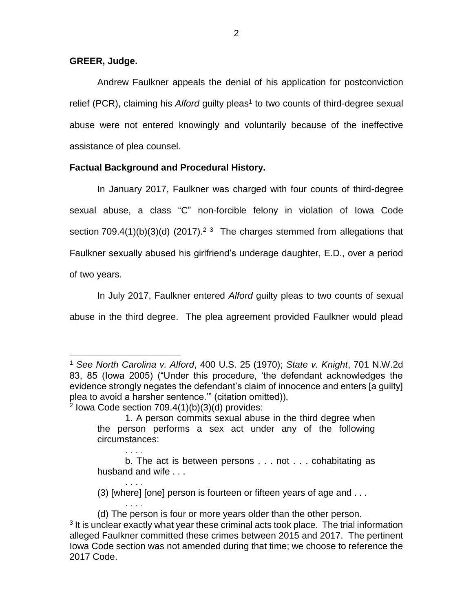### **GREER, Judge.**

 $\overline{a}$ 

. . . .

. . . .

. . . .

Andrew Faulkner appeals the denial of his application for postconviction relief (PCR), claiming his Alford guilty pleas<sup>1</sup> to two counts of third-degree sexual abuse were not entered knowingly and voluntarily because of the ineffective assistance of plea counsel.

### **Factual Background and Procedural History.**

In January 2017, Faulkner was charged with four counts of third-degree sexual abuse, a class "C" non-forcible felony in violation of Iowa Code section 709.4(1)(b)(3)(d) (2017).<sup>2 3</sup> The charges stemmed from allegations that Faulkner sexually abused his girlfriend's underage daughter, E.D., over a period of two years.

In July 2017, Faulkner entered *Alford* guilty pleas to two counts of sexual abuse in the third degree. The plea agreement provided Faulkner would plead

(3) [where] [one] person is fourteen or fifteen years of age and . . .

<sup>1</sup> *See North Carolina v. Alford*, 400 U.S. 25 (1970); *State v. Knight*, 701 N.W.2d 83, 85 (Iowa 2005) ("Under this procedure, 'the defendant acknowledges the evidence strongly negates the defendant's claim of innocence and enters [a guilty] plea to avoid a harsher sentence.'" (citation omitted)).  $2$  lowa Code section 709.4(1)(b)(3)(d) provides:

<sup>1.</sup> A person commits sexual abuse in the third degree when the person performs a sex act under any of the following circumstances:

b. The act is between persons . . . not . . . cohabitating as husband and wife . . .

<sup>(</sup>d) The person is four or more years older than the other person.  $3$  It is unclear exactly what year these criminal acts took place. The trial information alleged Faulkner committed these crimes between 2015 and 2017. The pertinent Iowa Code section was not amended during that time; we choose to reference the 2017 Code.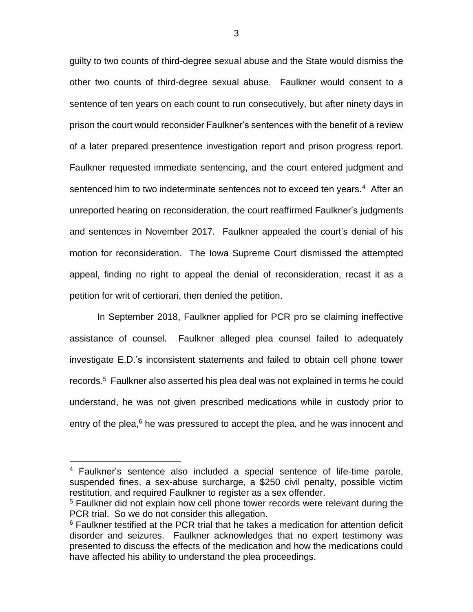guilty to two counts of third-degree sexual abuse and the State would dismiss the other two counts of third-degree sexual abuse. Faulkner would consent to a sentence of ten years on each count to run consecutively, but after ninety days in prison the court would reconsider Faulkner's sentences with the benefit of a review of a later prepared presentence investigation report and prison progress report. Faulkner requested immediate sentencing, and the court entered judgment and sentenced him to two indeterminate sentences not to exceed ten years.<sup>4</sup> After an unreported hearing on reconsideration, the court reaffirmed Faulkner's judgments and sentences in November 2017. Faulkner appealed the court's denial of his motion for reconsideration. The Iowa Supreme Court dismissed the attempted appeal, finding no right to appeal the denial of reconsideration, recast it as a petition for writ of certiorari, then denied the petition.

In September 2018, Faulkner applied for PCR pro se claiming ineffective assistance of counsel. Faulkner alleged plea counsel failed to adequately investigate E.D.'s inconsistent statements and failed to obtain cell phone tower records. 5 Faulkner also asserted his plea deal was not explained in terms he could understand, he was not given prescribed medications while in custody prior to entry of the plea,<sup>6</sup> he was pressured to accept the plea, and he was innocent and

 $\overline{a}$ 

<sup>4</sup> Faulkner's sentence also included a special sentence of life-time parole, suspended fines, a sex-abuse surcharge, a \$250 civil penalty, possible victim restitution, and required Faulkner to register as a sex offender.

<sup>&</sup>lt;sup>5</sup> Faulkner did not explain how cell phone tower records were relevant during the PCR trial. So we do not consider this allegation.

 $6$  Faulkner testified at the PCR trial that he takes a medication for attention deficit disorder and seizures. Faulkner acknowledges that no expert testimony was presented to discuss the effects of the medication and how the medications could have affected his ability to understand the plea proceedings.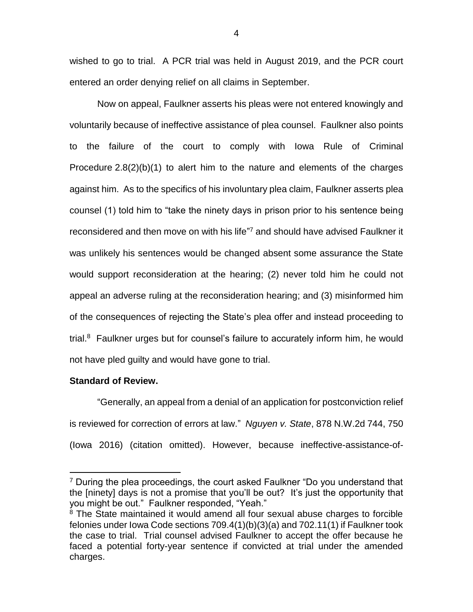wished to go to trial. A PCR trial was held in August 2019, and the PCR court entered an order denying relief on all claims in September.

Now on appeal, Faulkner asserts his pleas were not entered knowingly and voluntarily because of ineffective assistance of plea counsel. Faulkner also points to the failure of the court to comply with Iowa Rule of Criminal Procedure 2.8(2)(b)(1) to alert him to the nature and elements of the charges against him. As to the specifics of his involuntary plea claim, Faulkner asserts plea counsel (1) told him to "take the ninety days in prison prior to his sentence being reconsidered and then move on with his life"<sup>7</sup> and should have advised Faulkner it was unlikely his sentences would be changed absent some assurance the State would support reconsideration at the hearing; (2) never told him he could not appeal an adverse ruling at the reconsideration hearing; and (3) misinformed him of the consequences of rejecting the State's plea offer and instead proceeding to trial.<sup>8</sup> Faulkner urges but for counsel's failure to accurately inform him, he would not have pled guilty and would have gone to trial.

## **Standard of Review.**

 $\overline{a}$ 

"Generally, an appeal from a denial of an application for postconviction relief is reviewed for correction of errors at law." *Nguyen v. State*, 878 N.W.2d 744, 750 (Iowa 2016) (citation omitted). However, because ineffective-assistance-of-

 $7$  During the plea proceedings, the court asked Faulkner "Do you understand that the [ninety] days is not a promise that you'll be out? It's just the opportunity that you might be out." Faulkner responded, "Yeah."

 $8$  The State maintained it would amend all four sexual abuse charges to forcible felonies under Iowa Code sections 709.4(1)(b)(3)(a) and 702.11(1) if Faulkner took the case to trial. Trial counsel advised Faulkner to accept the offer because he faced a potential forty-year sentence if convicted at trial under the amended charges.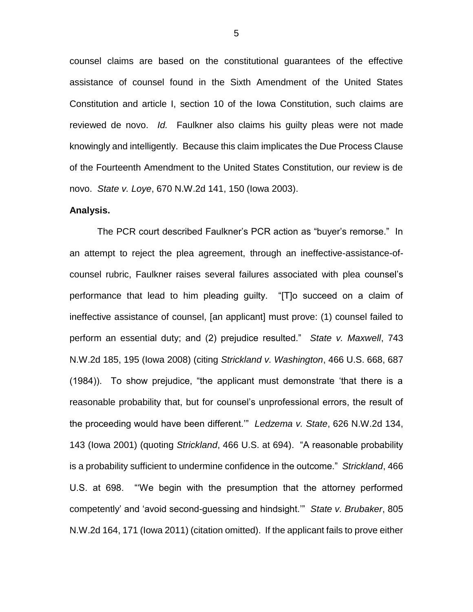counsel claims are based on the constitutional guarantees of the effective assistance of counsel found in the Sixth Amendment of the United States Constitution and article I, section 10 of the Iowa Constitution, such claims are reviewed de novo. *Id.* Faulkner also claims his guilty pleas were not made knowingly and intelligently. Because this claim implicates the Due Process Clause of the Fourteenth Amendment to the United States Constitution, our review is de novo. *State v. Loye*, 670 N.W.2d 141, 150 (Iowa 2003).

### **Analysis.**

The PCR court described Faulkner's PCR action as "buyer's remorse." In an attempt to reject the plea agreement, through an ineffective-assistance-ofcounsel rubric, Faulkner raises several failures associated with plea counsel's performance that lead to him pleading guilty. "[T]o succeed on a claim of ineffective assistance of counsel, [an applicant] must prove: (1) counsel failed to perform an essential duty; and (2) prejudice resulted." *State v. Maxwell*, 743 N.W.2d 185, 195 (Iowa 2008) (citing *Strickland v. Washington*, 466 U.S. 668, 687 (1984)). To show prejudice, "the applicant must demonstrate 'that there is a reasonable probability that, but for counsel's unprofessional errors, the result of the proceeding would have been different.'" *Ledzema v. State*, 626 N.W.2d 134, 143 (Iowa 2001) (quoting *Strickland*, 466 U.S. at 694). "A reasonable probability is a probability sufficient to undermine confidence in the outcome." *Strickland*, 466 U.S. at 698. "'We begin with the presumption that the attorney performed competently' and 'avoid second-guessing and hindsight.'" *State v. Brubaker*, 805 N.W.2d 164, 171 (Iowa 2011) (citation omitted). If the applicant fails to prove either

5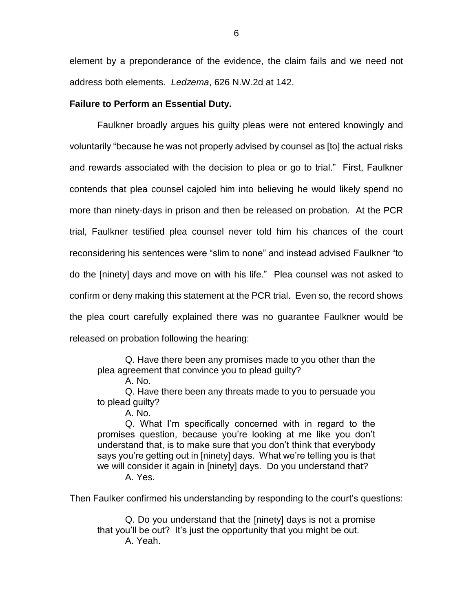element by a preponderance of the evidence, the claim fails and we need not address both elements. *Ledzema*, 626 N.W.2d at 142.

### **Failure to Perform an Essential Duty.**

Faulkner broadly argues his guilty pleas were not entered knowingly and voluntarily "because he was not properly advised by counsel as [to] the actual risks and rewards associated with the decision to plea or go to trial." First, Faulkner contends that plea counsel cajoled him into believing he would likely spend no more than ninety-days in prison and then be released on probation. At the PCR trial, Faulkner testified plea counsel never told him his chances of the court reconsidering his sentences were "slim to none" and instead advised Faulkner "to do the [ninety] days and move on with his life." Plea counsel was not asked to confirm or deny making this statement at the PCR trial. Even so, the record shows the plea court carefully explained there was no guarantee Faulkner would be released on probation following the hearing:

Q. Have there been any promises made to you other than the plea agreement that convince you to plead guilty?

A. No.

Q. Have there been any threats made to you to persuade you to plead guilty?

A. No.

Q. What I'm specifically concerned with in regard to the promises question, because you're looking at me like you don't understand that, is to make sure that you don't think that everybody says you're getting out in [ninety] days. What we're telling you is that we will consider it again in [ninety] days. Do you understand that? A. Yes.

Then Faulker confirmed his understanding by responding to the court's questions:

Q. Do you understand that the [ninety] days is not a promise that you'll be out? It's just the opportunity that you might be out. A. Yeah.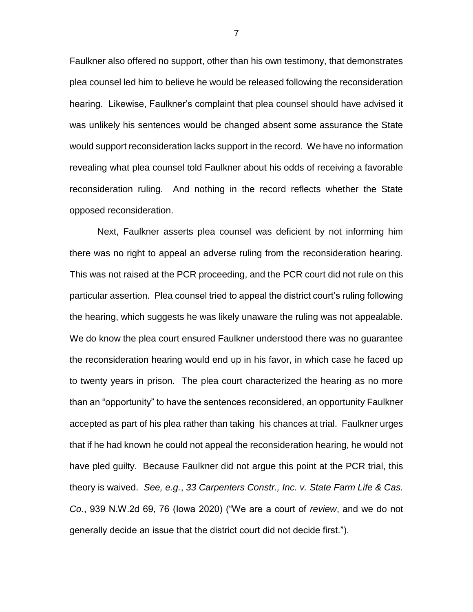Faulkner also offered no support, other than his own testimony, that demonstrates plea counsel led him to believe he would be released following the reconsideration hearing. Likewise, Faulkner's complaint that plea counsel should have advised it was unlikely his sentences would be changed absent some assurance the State would support reconsideration lacks support in the record. We have no information revealing what plea counsel told Faulkner about his odds of receiving a favorable reconsideration ruling. And nothing in the record reflects whether the State opposed reconsideration.

Next, Faulkner asserts plea counsel was deficient by not informing him there was no right to appeal an adverse ruling from the reconsideration hearing. This was not raised at the PCR proceeding, and the PCR court did not rule on this particular assertion. Plea counsel tried to appeal the district court's ruling following the hearing, which suggests he was likely unaware the ruling was not appealable. We do know the plea court ensured Faulkner understood there was no guarantee the reconsideration hearing would end up in his favor, in which case he faced up to twenty years in prison. The plea court characterized the hearing as no more than an "opportunity" to have the sentences reconsidered, an opportunity Faulkner accepted as part of his plea rather than taking his chances at trial. Faulkner urges that if he had known he could not appeal the reconsideration hearing, he would not have pled guilty. Because Faulkner did not argue this point at the PCR trial, this theory is waived. *See, e.g.*, *33 Carpenters Constr., Inc. v. State Farm Life & Cas. Co.*, 939 N.W.2d 69, 76 (Iowa 2020) ("We are a court of *review*, and we do not generally decide an issue that the district court did not decide first.").

7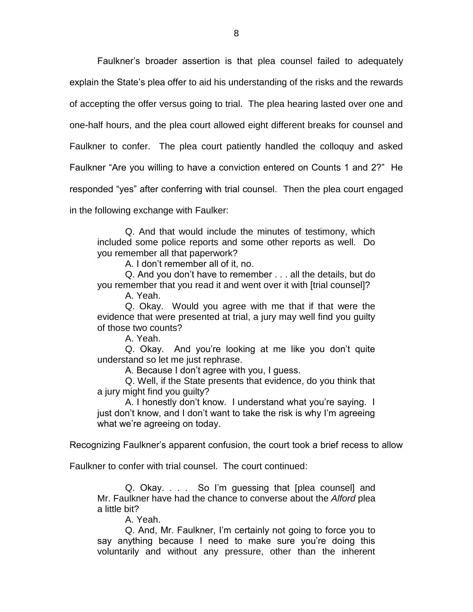Faulkner's broader assertion is that plea counsel failed to adequately explain the State's plea offer to aid his understanding of the risks and the rewards of accepting the offer versus going to trial. The plea hearing lasted over one and one-half hours, and the plea court allowed eight different breaks for counsel and Faulkner to confer. The plea court patiently handled the colloquy and asked Faulkner "Are you willing to have a conviction entered on Counts 1 and 2?" He responded "yes" after conferring with trial counsel. Then the plea court engaged in the following exchange with Faulker:

Q. And that would include the minutes of testimony, which included some police reports and some other reports as well. Do you remember all that paperwork?

A. I don't remember all of it, no.

Q. And you don't have to remember . . . all the details, but do you remember that you read it and went over it with [trial counsel]?

A. Yeah.

Q. Okay. Would you agree with me that if that were the evidence that were presented at trial, a jury may well find you guilty of those two counts?

A. Yeah.

Q. Okay. And you're looking at me like you don't quite understand so let me just rephrase.

A. Because I don't agree with you, I guess.

Q. Well, if the State presents that evidence, do you think that a jury might find you guilty?

A. I honestly don't know. I understand what you're saying. I just don't know, and I don't want to take the risk is why I'm agreeing what we're agreeing on today.

Recognizing Faulkner's apparent confusion, the court took a brief recess to allow

Faulkner to confer with trial counsel. The court continued:

Q. Okay. . . . So I'm guessing that [plea counsel] and Mr. Faulkner have had the chance to converse about the *Alford* plea a little bit?

A. Yeah.

Q. And, Mr. Faulkner, I'm certainly not going to force you to say anything because I need to make sure you're doing this voluntarily and without any pressure, other than the inherent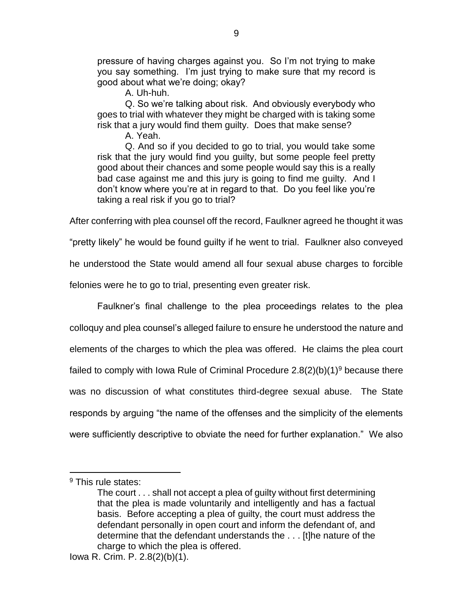pressure of having charges against you. So I'm not trying to make you say something. I'm just trying to make sure that my record is good about what we're doing; okay?

A. Uh-huh.

Q. So we're talking about risk. And obviously everybody who goes to trial with whatever they might be charged with is taking some risk that a jury would find them guilty. Does that make sense?

A. Yeah.

Q. And so if you decided to go to trial, you would take some risk that the jury would find you guilty, but some people feel pretty good about their chances and some people would say this is a really bad case against me and this jury is going to find me guilty. And I don't know where you're at in regard to that. Do you feel like you're taking a real risk if you go to trial?

After conferring with plea counsel off the record, Faulkner agreed he thought it was

"pretty likely" he would be found guilty if he went to trial. Faulkner also conveyed

he understood the State would amend all four sexual abuse charges to forcible

felonies were he to go to trial, presenting even greater risk.

Faulkner's final challenge to the plea proceedings relates to the plea colloquy and plea counsel's alleged failure to ensure he understood the nature and elements of the charges to which the plea was offered. He claims the plea court failed to comply with Iowa Rule of Criminal Procedure  $2.8(2)(b)(1)^9$  because there was no discussion of what constitutes third-degree sexual abuse. The State responds by arguing "the name of the offenses and the simplicity of the elements were sufficiently descriptive to obviate the need for further explanation." We also

 $\overline{a}$ 

<sup>&</sup>lt;sup>9</sup> This rule states:

The court . . . shall not accept a plea of guilty without first determining that the plea is made voluntarily and intelligently and has a factual basis. Before accepting a plea of guilty, the court must address the defendant personally in open court and inform the defendant of, and determine that the defendant understands the . . . [t]he nature of the charge to which the plea is offered.

Iowa R. Crim. P. 2.8(2)(b)(1).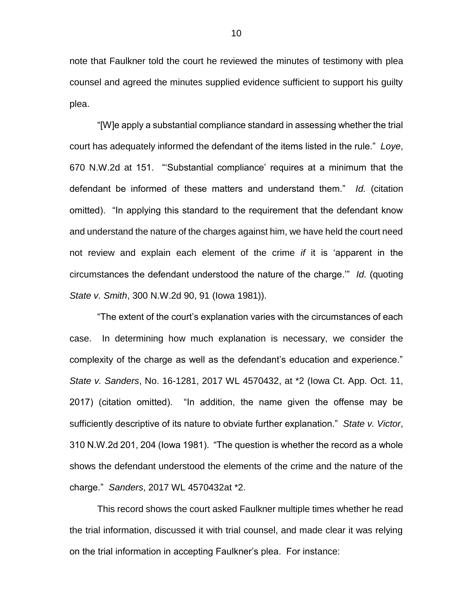note that Faulkner told the court he reviewed the minutes of testimony with plea counsel and agreed the minutes supplied evidence sufficient to support his guilty plea.

"[W]e apply a substantial compliance standard in assessing whether the trial court has adequately informed the defendant of the items listed in the rule." *Loye*, 670 N.W.2d at 151. "'Substantial compliance' requires at a minimum that the defendant be informed of these matters and understand them." *Id.* (citation omitted). "In applying this standard to the requirement that the defendant know and understand the nature of the charges against him, we have held the court need not review and explain each element of the crime *if* it is 'apparent in the circumstances the defendant understood the nature of the charge.'" *Id.* (quoting *State v. Smith*, 300 N.W.2d 90, 91 (Iowa 1981)).

"The extent of the court's explanation varies with the circumstances of each case. In determining how much explanation is necessary, we consider the complexity of the charge as well as the defendant's education and experience." *State v. Sanders*, No. 16-1281, 2017 WL 4570432, at \*2 (Iowa Ct. App. Oct. 11, 2017) (citation omitted). "In addition, the name given the offense may be sufficiently descriptive of its nature to obviate further explanation." *State v. Victor*, 310 N.W.2d 201, 204 (Iowa 1981). "The question is whether the record as a whole shows the defendant understood the elements of the crime and the nature of the charge." *Sanders*, 2017 WL 4570432at \*2.

This record shows the court asked Faulkner multiple times whether he read the trial information, discussed it with trial counsel, and made clear it was relying on the trial information in accepting Faulkner's plea. For instance: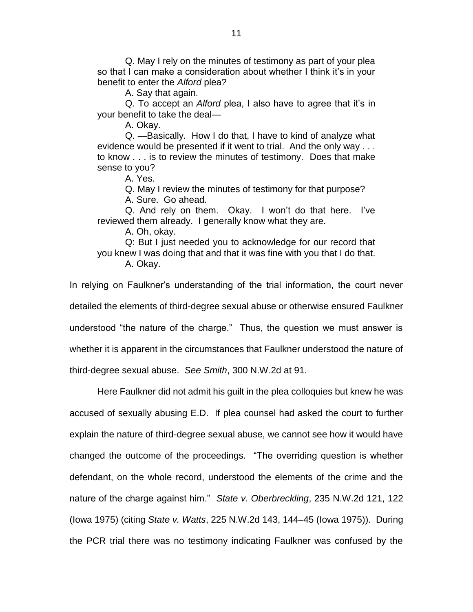Q. May I rely on the minutes of testimony as part of your plea so that I can make a consideration about whether I think it's in your benefit to enter the *Alford* plea?

A. Say that again.

Q. To accept an *Alford* plea, I also have to agree that it's in your benefit to take the deal—

A. Okay.

Q. —Basically. How I do that, I have to kind of analyze what evidence would be presented if it went to trial. And the only way . . . to know . . . is to review the minutes of testimony. Does that make sense to you?

A. Yes.

Q. May I review the minutes of testimony for that purpose? A. Sure. Go ahead.

Q. And rely on them. Okay. I won't do that here. I've reviewed them already. I generally know what they are.

A. Oh, okay.

Q: But I just needed you to acknowledge for our record that you knew I was doing that and that it was fine with you that I do that. A. Okay.

In relying on Faulkner's understanding of the trial information, the court never detailed the elements of third-degree sexual abuse or otherwise ensured Faulkner understood "the nature of the charge." Thus, the question we must answer is whether it is apparent in the circumstances that Faulkner understood the nature of third-degree sexual abuse. *See Smith*, 300 N.W.2d at 91.

Here Faulkner did not admit his guilt in the plea colloquies but knew he was accused of sexually abusing E.D. If plea counsel had asked the court to further explain the nature of third-degree sexual abuse, we cannot see how it would have changed the outcome of the proceedings. "The overriding question is whether defendant, on the whole record, understood the elements of the crime and the nature of the charge against him." *State v. Oberbreckling*, 235 N.W.2d 121, 122 (Iowa 1975) (citing *State v. Watts*, 225 N.W.2d 143, 144–45 (Iowa 1975)). During the PCR trial there was no testimony indicating Faulkner was confused by the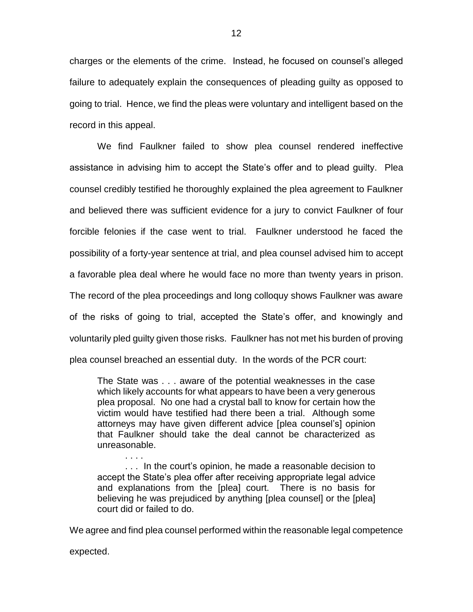charges or the elements of the crime. Instead, he focused on counsel's alleged failure to adequately explain the consequences of pleading guilty as opposed to going to trial. Hence, we find the pleas were voluntary and intelligent based on the record in this appeal.

We find Faulkner failed to show plea counsel rendered ineffective assistance in advising him to accept the State's offer and to plead guilty. Plea counsel credibly testified he thoroughly explained the plea agreement to Faulkner and believed there was sufficient evidence for a jury to convict Faulkner of four forcible felonies if the case went to trial. Faulkner understood he faced the possibility of a forty-year sentence at trial, and plea counsel advised him to accept a favorable plea deal where he would face no more than twenty years in prison. The record of the plea proceedings and long colloquy shows Faulkner was aware of the risks of going to trial, accepted the State's offer, and knowingly and voluntarily pled guilty given those risks. Faulkner has not met his burden of proving plea counsel breached an essential duty. In the words of the PCR court:

The State was . . . aware of the potential weaknesses in the case which likely accounts for what appears to have been a very generous plea proposal. No one had a crystal ball to know for certain how the victim would have testified had there been a trial. Although some attorneys may have given different advice [plea counsel's] opinion that Faulkner should take the deal cannot be characterized as unreasonable.

. . . In the court's opinion, he made a reasonable decision to accept the State's plea offer after receiving appropriate legal advice and explanations from the [plea] court. There is no basis for believing he was prejudiced by anything [plea counsel] or the [plea] court did or failed to do.

We agree and find plea counsel performed within the reasonable legal competence

expected.

. . . .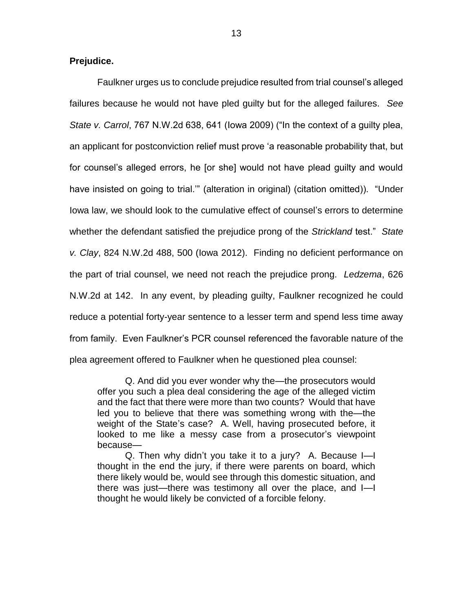### **Prejudice.**

Faulkner urges us to conclude prejudice resulted from trial counsel's alleged failures because he would not have pled guilty but for the alleged failures. *See State v. Carrol*, 767 N.W.2d 638, 641 (Iowa 2009) ("In the context of a guilty plea, an applicant for postconviction relief must prove 'a reasonable probability that, but for counsel's alleged errors, he [or she] would not have plead guilty and would have insisted on going to trial.'" (alteration in original) (citation omitted)). "Under Iowa law, we should look to the cumulative effect of counsel's errors to determine whether the defendant satisfied the prejudice prong of the *Strickland* test." *State v. Clay*, 824 N.W.2d 488, 500 (Iowa 2012). Finding no deficient performance on the part of trial counsel, we need not reach the prejudice prong. *Ledzema*, 626 N.W.2d at 142. In any event, by pleading guilty, Faulkner recognized he could reduce a potential forty-year sentence to a lesser term and spend less time away from family. Even Faulkner's PCR counsel referenced the favorable nature of the plea agreement offered to Faulkner when he questioned plea counsel:

Q. And did you ever wonder why the—the prosecutors would offer you such a plea deal considering the age of the alleged victim and the fact that there were more than two counts? Would that have led you to believe that there was something wrong with the—the weight of the State's case? A. Well, having prosecuted before, it looked to me like a messy case from a prosecutor's viewpoint because—

Q. Then why didn't you take it to a jury? A. Because I—I thought in the end the jury, if there were parents on board, which there likely would be, would see through this domestic situation, and there was just—there was testimony all over the place, and I—I thought he would likely be convicted of a forcible felony.

13